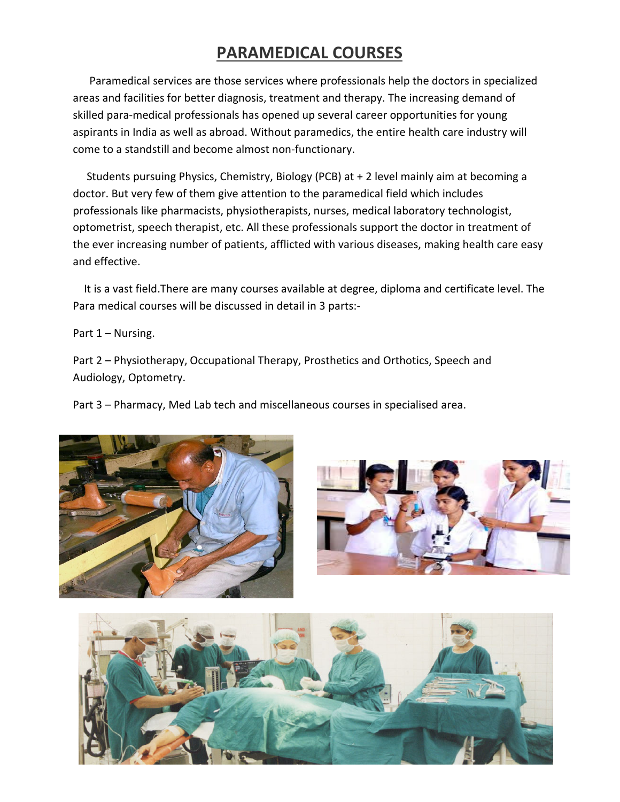## **PARAMEDICAL COURSES**

 Paramedical services are those services where professionals help the doctors in specialized areas and facilities for better diagnosis, treatment and therapy. The increasing demand of skilled para-medical professionals has opened up several career opportunities for young aspirants in India as well as abroad. Without paramedics, the entire health care industry will come to a standstill and become almost non-functionary.

 Students pursuing Physics, Chemistry, Biology (PCB) at + 2 level mainly aim at becoming a doctor. But very few of them give attention to the paramedical field which includes professionals like pharmacists, physiotherapists, nurses, medical laboratory technologist, optometrist, speech therapist, etc. All these professionals support the doctor in treatment of the ever increasing number of patients, afflicted with various diseases, making health care easy and effective.

 It is a vast field.There are many courses available at degree, diploma and certificate level. The Para medical courses will be discussed in detail in 3 parts:-

Part 1 – Nursing.

Part 2 – Physiotherapy, Occupational Therapy, Prosthetics and Orthotics, Speech and Audiology, Optometry.

Part 3 – Pharmacy, Med Lab tech and miscellaneous courses in specialised area.





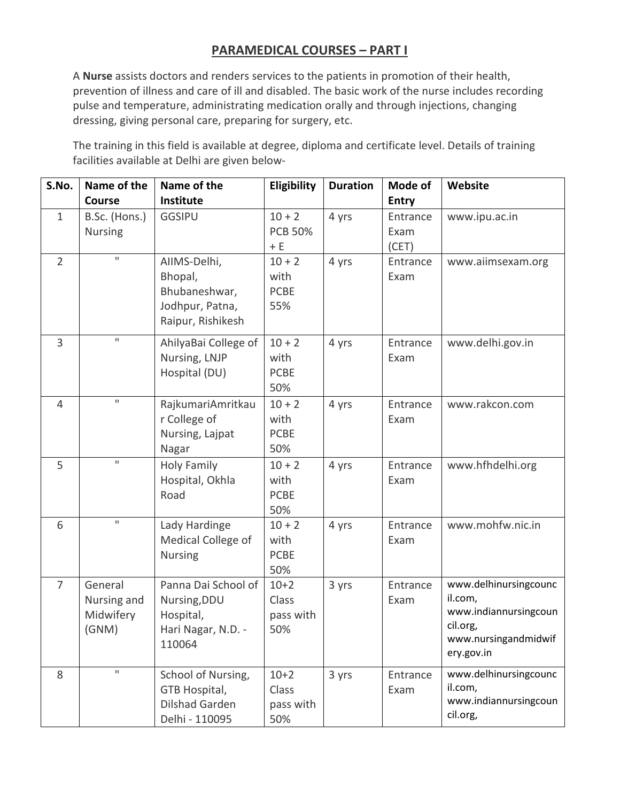## **PARAMEDICAL COURSES – PART I**

A **Nurse** assists doctors and renders services to the patients in promotion of their health, prevention of illness and care of ill and disabled. The basic work of the nurse includes recording pulse and temperature, administrating medication orally and through injections, changing dressing, giving personal care, preparing for surgery, etc.

The training in this field is available at degree, diploma and certificate level. Details of training facilities available at Delhi are given below-

| S.No.          | Name of the                                  | Name of the                                                                      | Eligibility                            | <b>Duration</b> | Mode of          | Website                                                                                                     |
|----------------|----------------------------------------------|----------------------------------------------------------------------------------|----------------------------------------|-----------------|------------------|-------------------------------------------------------------------------------------------------------------|
|                | <b>Course</b>                                | Institute                                                                        |                                        |                 | <b>Entry</b>     |                                                                                                             |
| $\mathbf{1}$   | B.Sc. (Hons.)                                | <b>GGSIPU</b>                                                                    | $10 + 2$                               | 4 yrs           | Entrance         | www.ipu.ac.in                                                                                               |
|                | <b>Nursing</b>                               |                                                                                  | <b>PCB 50%</b>                         |                 | Exam             |                                                                                                             |
|                | $\mathbf H$                                  |                                                                                  | $+ E$                                  |                 | (CET)            |                                                                                                             |
| $\overline{2}$ |                                              | AIIMS-Delhi,<br>Bhopal,<br>Bhubaneshwar,<br>Jodhpur, Patna,<br>Raipur, Rishikesh | $10 + 2$<br>with<br><b>PCBE</b><br>55% | 4 yrs           | Entrance<br>Exam | www.aiimsexam.org                                                                                           |
| $\overline{3}$ | $\mathbf{H}$                                 | AhilyaBai College of<br>Nursing, LNJP<br>Hospital (DU)                           | $10 + 2$<br>with<br><b>PCBE</b><br>50% | 4 yrs           | Entrance<br>Exam | www.delhi.gov.in                                                                                            |
| $\overline{4}$ | $\mathbf H$                                  | RajkumariAmritkau<br>r College of<br>Nursing, Lajpat<br>Nagar                    | $10 + 2$<br>with<br><b>PCBE</b><br>50% | 4 yrs           | Entrance<br>Exam | www.rakcon.com                                                                                              |
| 5              | $\mathbf{H}$                                 | <b>Holy Family</b><br>Hospital, Okhla<br>Road                                    | $10 + 2$<br>with<br><b>PCBE</b><br>50% | 4 yrs           | Entrance<br>Exam | www.hfhdelhi.org                                                                                            |
| 6              | $\mathbf{H}$                                 | Lady Hardinge<br>Medical College of<br><b>Nursing</b>                            | $10 + 2$<br>with<br><b>PCBE</b><br>50% | 4 yrs           | Entrance<br>Exam | www.mohfw.nic.in                                                                                            |
| $\overline{7}$ | General<br>Nursing and<br>Midwifery<br>(GNM) | Panna Dai School of<br>Nursing, DDU<br>Hospital,<br>Hari Nagar, N.D. -<br>110064 | $10+2$<br>Class<br>pass with<br>50%    | 3 yrs           | Entrance<br>Exam | www.delhinursingcounc<br>il.com,<br>www.indiannursingcoun<br>cil.org,<br>www.nursingandmidwif<br>ery.gov.in |
| 8              | $\mathbf H$                                  | School of Nursing,<br>GTB Hospital,<br><b>Dilshad Garden</b><br>Delhi - 110095   | $10+2$<br>Class<br>pass with<br>50%    | 3 yrs           | Entrance<br>Exam | www.delhinursingcounc<br>il.com,<br>www.indiannursingcoun<br>cil.org,                                       |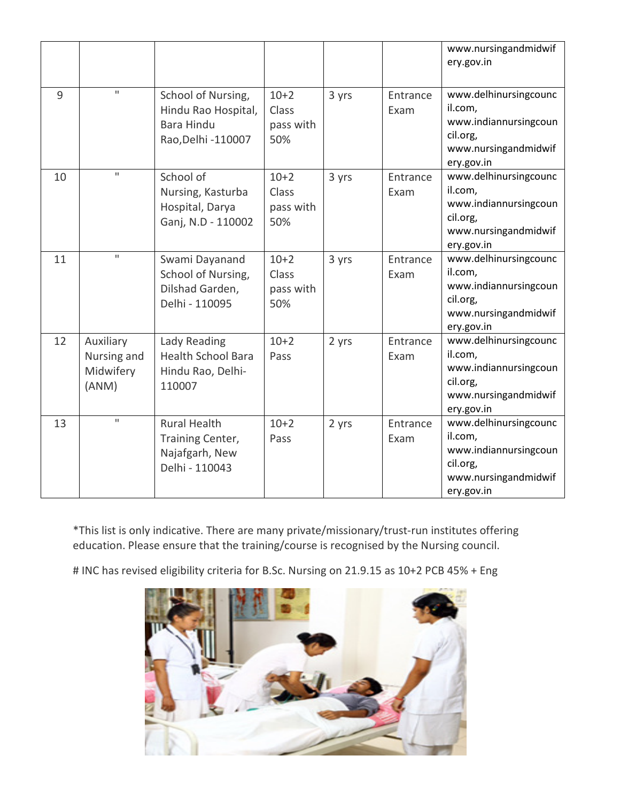|    |                                                |                                                                                       |                                     |       |                  | www.nursingandmidwif<br>ery.gov.in                                                                          |
|----|------------------------------------------------|---------------------------------------------------------------------------------------|-------------------------------------|-------|------------------|-------------------------------------------------------------------------------------------------------------|
| 9  | $\mathbf{H}$                                   | School of Nursing,<br>Hindu Rao Hospital,<br><b>Bara Hindu</b><br>Rao, Delhi - 110007 | $10+2$<br>Class<br>pass with<br>50% | 3 yrs | Entrance<br>Exam | www.delhinursingcounc<br>il.com,<br>www.indiannursingcoun<br>cil.org,<br>www.nursingandmidwif<br>ery.gov.in |
| 10 | $\mathbf{H}$                                   | School of<br>Nursing, Kasturba<br>Hospital, Darya<br>Ganj, N.D - 110002               | $10+2$<br>Class<br>pass with<br>50% | 3 yrs | Entrance<br>Exam | www.delhinursingcounc<br>il.com,<br>www.indiannursingcoun<br>cil.org,<br>www.nursingandmidwif<br>ery.gov.in |
| 11 | $\mathbf{H}$                                   | Swami Dayanand<br>School of Nursing,<br>Dilshad Garden,<br>Delhi - 110095             | $10+2$<br>Class<br>pass with<br>50% | 3 yrs | Entrance<br>Exam | www.delhinursingcounc<br>il.com,<br>www.indiannursingcoun<br>cil.org,<br>www.nursingandmidwif<br>ery.gov.in |
| 12 | Auxiliary<br>Nursing and<br>Midwifery<br>(ANM) | Lady Reading<br><b>Health School Bara</b><br>Hindu Rao, Delhi-<br>110007              | $10+2$<br>Pass                      | 2 yrs | Entrance<br>Exam | www.delhinursingcounc<br>il.com,<br>www.indiannursingcoun<br>cil.org,<br>www.nursingandmidwif<br>ery.gov.in |
| 13 | $\mathbf{H}$                                   | <b>Rural Health</b><br>Training Center,<br>Najafgarh, New<br>Delhi - 110043           | $10+2$<br>Pass                      | 2 yrs | Entrance<br>Exam | www.delhinursingcounc<br>il.com,<br>www.indiannursingcoun<br>cil.org,<br>www.nursingandmidwif<br>ery.gov.in |

\*This list is only indicative. There are many private/missionary/trust-run institutes offering education. Please ensure that the training/course is recognised by the Nursing council.

# INC has revised eligibility criteria for B.Sc. Nursing on 21.9.15 as 10+2 PCB 45% + Eng

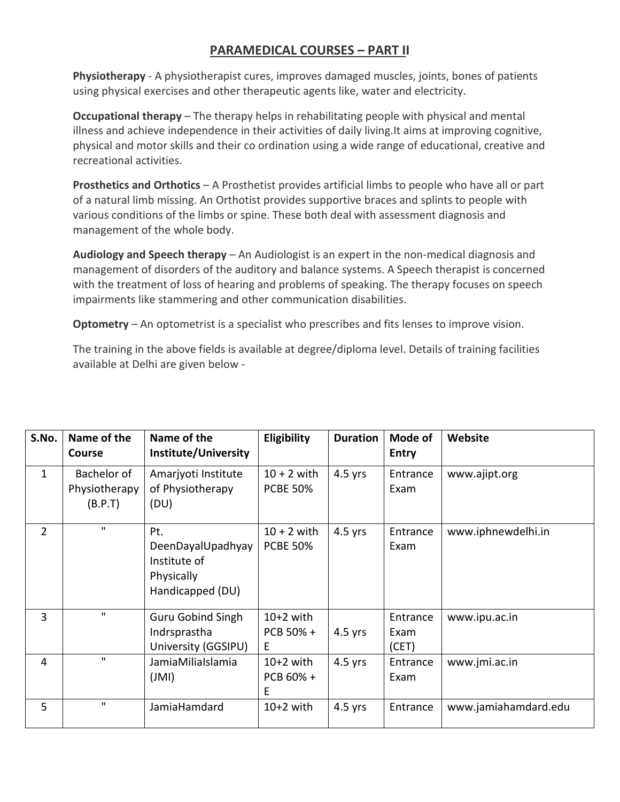## **PARAMEDICAL COURSES – PART II**

**Physiotherapy** - A physiotherapist cures, improves damaged muscles, joints, bones of patients using physical exercises and other therapeutic agents like, water and electricity.

**Occupational therapy** – The therapy helps in rehabilitating people with physical and mental illness and achieve independence in their activities of daily living.It aims at improving cognitive, physical and motor skills and their co ordination using a wide range of educational, creative and recreational activities.

**Prosthetics and Orthotics** – A Prosthetist provides artificial limbs to people who have all or part of a natural limb missing. An Orthotist provides supportive braces and splints to people with various conditions of the limbs or spine. These both deal with assessment diagnosis and management of the whole body.

**Audiology and Speech therapy** – An Audiologist is an expert in the non-medical diagnosis and management of disorders of the auditory and balance systems. A Speech therapist is concerned with the treatment of loss of hearing and problems of speaking. The therapy focuses on speech impairments like stammering and other communication disabilities.

**Optometry** – An optometrist is a specialist who prescribes and fits lenses to improve vision.

The training in the above fields is available at degree/diploma level. Details of training facilities available at Delhi are given below -

| S.No.          | Name of the<br><b>Course</b>            | Name of the<br>Institute/University                                        | Eligibility                      | <b>Duration</b> | Mode of<br><b>Entry</b>   | Website              |
|----------------|-----------------------------------------|----------------------------------------------------------------------------|----------------------------------|-----------------|---------------------------|----------------------|
| $\mathbf{1}$   | Bachelor of<br>Physiotherapy<br>(B.P.T) | Amarjyoti Institute<br>of Physiotherapy<br>(DU)                            | $10 + 2$ with<br><b>PCBE 50%</b> | $4.5$ yrs       | Entrance<br>Exam          | www.ajipt.org        |
| $\overline{2}$ | $\mathbf{H}$                            | Pt.<br>DeenDayalUpadhyay<br>Institute of<br>Physically<br>Handicapped (DU) | $10 + 2$ with<br><b>PCBE 50%</b> | $4.5$ yrs       | Entrance<br>Exam          | www.iphnewdelhi.in   |
| 3              | $\mathbf{H}$                            | <b>Guru Gobind Singh</b><br>Indrsprastha<br>University (GGSIPU)            | $10+2$ with<br>PCB 50% +<br>E    | $4.5$ yrs       | Entrance<br>Exam<br>(CET) | www.ipu.ac.in        |
| 4              | $\mathbf{H}$                            | JamiaMiliaIslamia<br>(MI)                                                  | $10+2$ with<br>PCB 60% +<br>E    | $4.5$ yrs       | Entrance<br>Exam          | www.jmi.ac.in        |
| 5              | $\mathbf H$                             | JamiaHamdard                                                               | $10+2$ with                      | $4.5$ yrs       | Entrance                  | www.jamiahamdard.edu |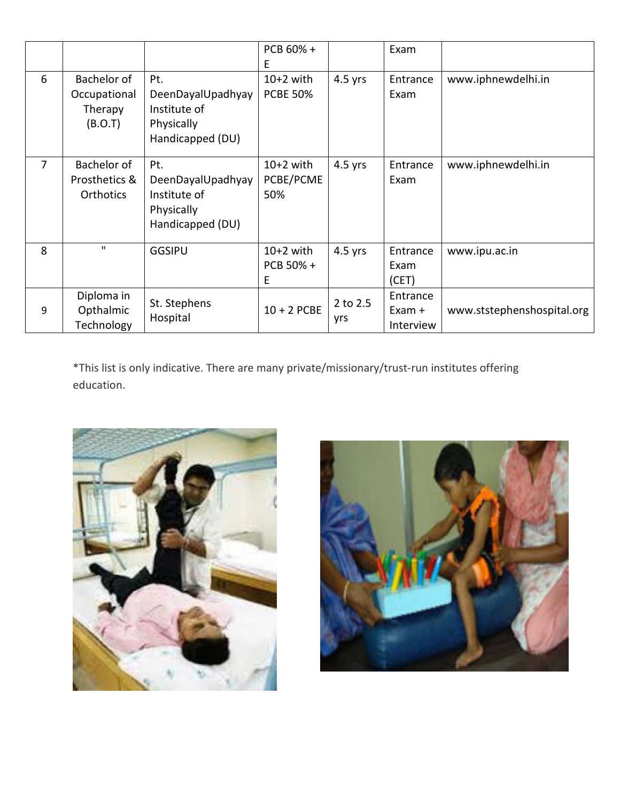|                |                                                   |                                                                            | PCB 60% +<br>E.                 |                 | Exam                              |                            |
|----------------|---------------------------------------------------|----------------------------------------------------------------------------|---------------------------------|-----------------|-----------------------------------|----------------------------|
| 6              | Bachelor of<br>Occupational<br>Therapy<br>(B.O.T) | Pt.<br>DeenDayalUpadhyay<br>Institute of<br>Physically<br>Handicapped (DU) | $10+2$ with<br><b>PCBE 50%</b>  | $4.5$ yrs       | Entrance<br>Exam                  | www.iphnewdelhi.in         |
| $\overline{7}$ | Bachelor of<br>Prosthetics &<br><b>Orthotics</b>  | Pt.<br>DeenDayalUpadhyay<br>Institute of<br>Physically<br>Handicapped (DU) | $10+2$ with<br>PCBE/PCME<br>50% | $4.5$ yrs       | Entrance<br>Exam                  | www.iphnewdelhi.in         |
| 8              | п.                                                | <b>GGSIPU</b>                                                              | $10+2$ with<br>PCB 50% +<br>Е   | $4.5$ yrs       | Entrance<br>Exam<br>(CET)         | www.ipu.ac.in              |
| 9              | Diploma in<br>Opthalmic<br>Technology             | St. Stephens<br>Hospital                                                   | $10 + 2$ PCBE                   | 2 to 2.5<br>yrs | Entrance<br>$Exam +$<br>Interview | www.ststephenshospital.org |

\*This list is only indicative. There are many private/missionary/trust-run institutes offering education.



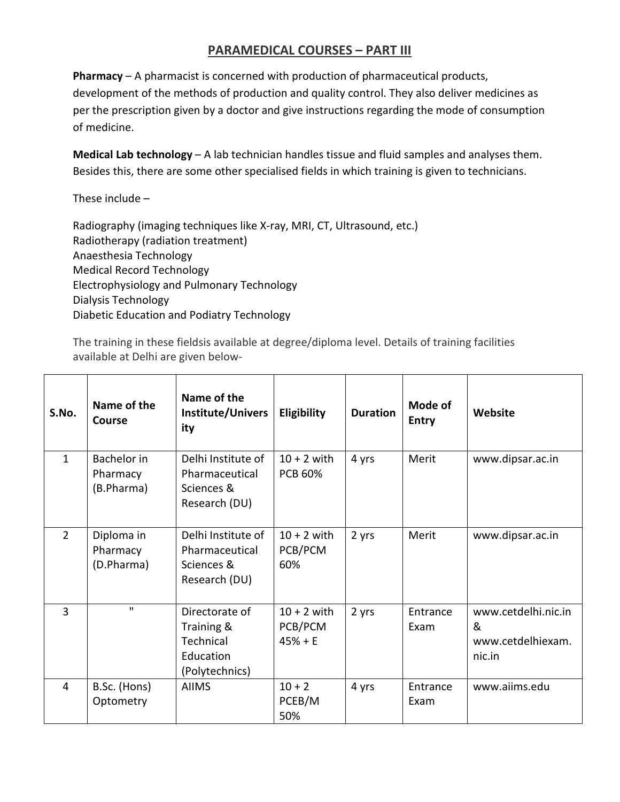## **PARAMEDICAL COURSES – PART III**

**Pharmacy** – A pharmacist is concerned with production of pharmaceutical products, development of the methods of production and quality control. They also deliver medicines as per the prescription given by a doctor and give instructions regarding the mode of consumption of medicine.

**Medical Lab technology** – A lab technician handles tissue and fluid samples and analyses them. Besides this, there are some other specialised fields in which training is given to technicians.

These include –

Radiography (imaging techniques like X-ray, MRI, CT, Ultrasound, etc.) Radiotherapy (radiation treatment) Anaesthesia Technology Medical Record Technology Electrophysiology and Pulmonary Technology Dialysis Technology Diabetic Education and Podiatry Technology

The training in these fieldsis available at degree/diploma level. Details of training facilities available at Delhi are given below-

| S.No.          | Name of the<br>Course                 | Name of the<br>Institute/Univers<br>ity                                  | Eligibility                           | <b>Duration</b> | Mode of<br><b>Entry</b> | Website                                                 |
|----------------|---------------------------------------|--------------------------------------------------------------------------|---------------------------------------|-----------------|-------------------------|---------------------------------------------------------|
| $\mathbf{1}$   | Bachelor in<br>Pharmacy<br>(B.Pharma) | Delhi Institute of<br>Pharmaceutical<br>Sciences &<br>Research (DU)      | $10 + 2$ with<br><b>PCB 60%</b>       | 4 yrs           | Merit                   | www.dipsar.ac.in                                        |
| $\overline{2}$ | Diploma in<br>Pharmacy<br>(D.Pharma)  | Delhi Institute of<br>Pharmaceutical<br>Sciences &<br>Research (DU)      | $10 + 2$ with<br>PCB/PCM<br>60%       | 2 yrs           | Merit                   | www.dipsar.ac.in                                        |
| $\overline{3}$ | $\mathbf{H}$                          | Directorate of<br>Training &<br>Technical<br>Education<br>(Polytechnics) | $10 + 2$ with<br>PCB/PCM<br>$45% + E$ | 2 yrs           | Entrance<br>Exam        | www.cetdelhi.nic.in<br>&<br>www.cetdelhiexam.<br>nic.in |
| 4              | B.Sc. (Hons)<br>Optometry             | <b>AIIMS</b>                                                             | $10 + 2$<br>PCEB/M<br>50%             | 4 yrs           | Entrance<br>Exam        | www.aiims.edu                                           |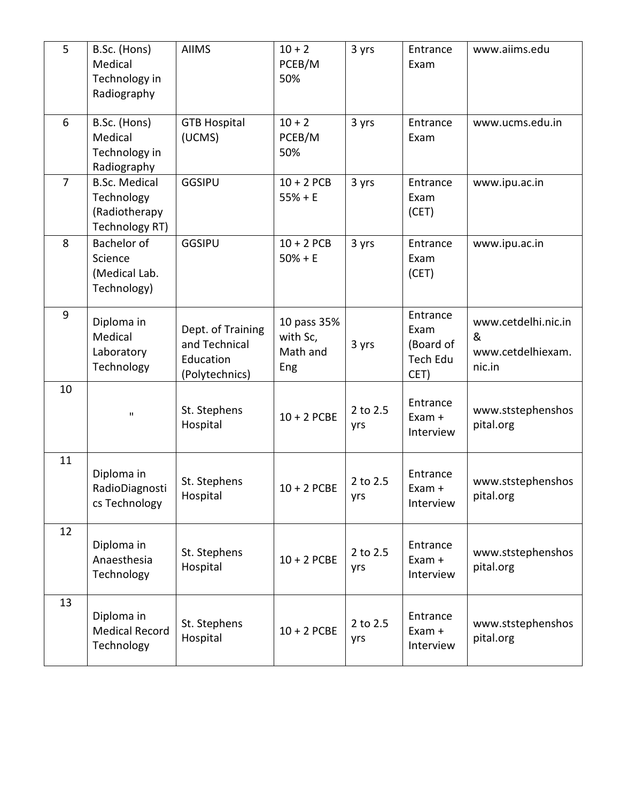| 5              | B.Sc. (Hons)<br>Medical<br>Technology in<br>Radiography               | <b>AIIMS</b>                                                      | $10 + 2$<br>PCEB/M<br>50%                  | 3 yrs           | Entrance<br>Exam                                  | www.aiims.edu                                           |
|----------------|-----------------------------------------------------------------------|-------------------------------------------------------------------|--------------------------------------------|-----------------|---------------------------------------------------|---------------------------------------------------------|
| 6              | B.Sc. (Hons)<br>Medical<br>Technology in<br>Radiography               | <b>GTB Hospital</b><br>(UCMS)                                     | $10 + 2$<br>PCEB/M<br>50%                  | 3 yrs           | Entrance<br>Exam                                  | www.ucms.edu.in                                         |
| $\overline{7}$ | <b>B.Sc. Medical</b><br>Technology<br>(Radiotherapy<br>Technology RT) | <b>GGSIPU</b>                                                     | $10 + 2$ PCB<br>$55% + E$                  | 3 yrs           | Entrance<br>Exam<br>(CET)                         | www.ipu.ac.in                                           |
| 8              | <b>Bachelor of</b><br>Science<br>(Medical Lab.<br>Technology)         | <b>GGSIPU</b>                                                     | $10 + 2$ PCB<br>$50% + E$                  | 3 yrs           | Entrance<br>Exam<br>(CET)                         | www.ipu.ac.in                                           |
| 9              | Diploma in<br>Medical<br>Laboratory<br>Technology                     | Dept. of Training<br>and Technical<br>Education<br>(Polytechnics) | 10 pass 35%<br>with Sc,<br>Math and<br>Eng | 3 yrs           | Entrance<br>Exam<br>(Board of<br>Tech Edu<br>CET) | www.cetdelhi.nic.in<br>&<br>www.cetdelhiexam.<br>nic.in |
| 10             | $\mathbf H$                                                           | St. Stephens<br>Hospital                                          | $10 + 2$ PCBE                              | 2 to 2.5<br>yrs | Entrance<br>Exam +<br>Interview                   | www.ststephenshos<br>pital.org                          |
| 11             | Diploma in<br>RadioDiagnosti<br>cs Technology                         | St. Stephens<br>Hospital                                          | $10 + 2$ PCBE                              | 2 to 2.5<br>yrs | Entrance<br>Exam +<br>Interview                   | www.ststephenshos<br>pital.org                          |
| 12             | Diploma in<br>Anaesthesia<br>Technology                               | St. Stephens<br>Hospital                                          | $10 + 2$ PCBE                              | 2 to 2.5<br>yrs | Entrance<br>Exam +<br>Interview                   | www.ststephenshos<br>pital.org                          |
| 13             | Diploma in<br><b>Medical Record</b><br>Technology                     | St. Stephens<br>Hospital                                          | $10 + 2$ PCBE                              | 2 to 2.5<br>yrs | Entrance<br>Exam +<br>Interview                   | www.ststephenshos<br>pital.org                          |